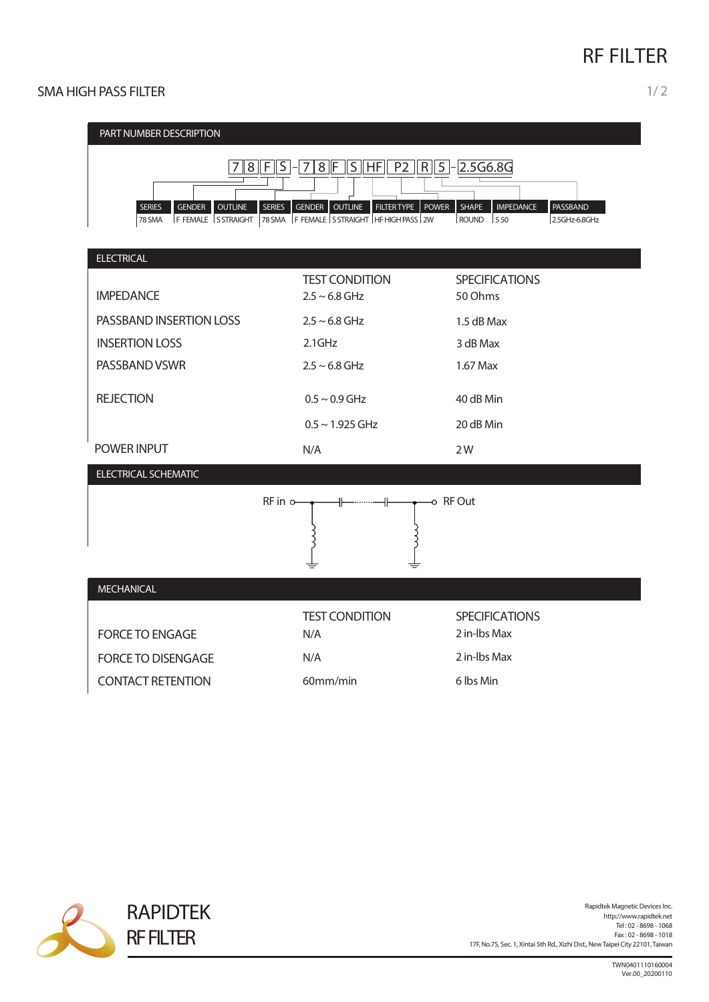# **RF FILTER**

### SMA HIGH PASS FILTER 1/2





Rapidtek Magnetic Devices Inc. http://www.rapidtek.net Tel : 02 - 8698 - 1068 Fax : 02 - 8698 - 1018 17F, No.75, Sec. 1, Xintai 5th Rd., Xizhi Dist., NewTaipei City 22101,Taiwan